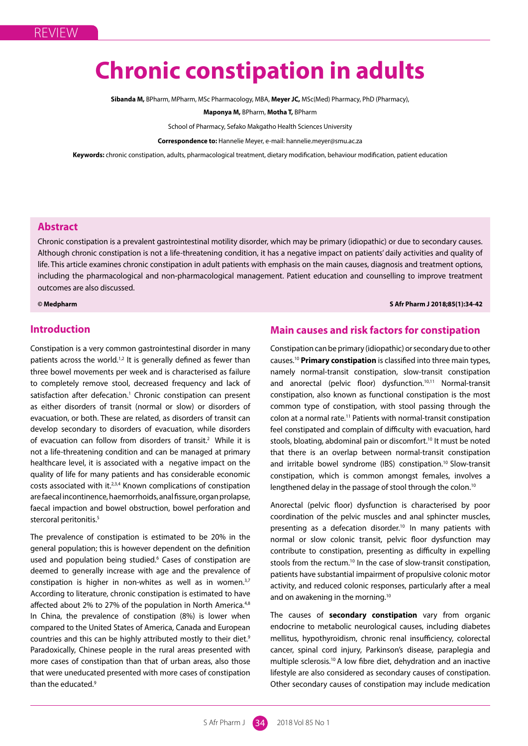# **Chronic constipation in adults**

**Sibanda M,** BPharm, MPharm, MSc Pharmacology, MBA, **Meyer JC,** MSc(Med) Pharmacy, PhD (Pharmacy),

**Maponya M,** BPharm, **Motha T,** BPharm

School of Pharmacy, Sefako Makgatho Health Sciences University

**Correspondence to:** Hannelie Meyer, e-mail: hannelie.meyer@smu.ac.za

**Keywords:** chronic constipation, adults, pharmacological treatment, dietary modification, behaviour modification, patient education

# **Abstract**

Chronic constipation is a prevalent gastrointestinal motility disorder, which may be primary (idiopathic) or due to secondary causes. Although chronic constipation is not a life-threatening condition, it has a negative impact on patients' daily activities and quality of life. This article examines chronic constipation in adult patients with emphasis on the main causes, diagnosis and treatment options, including the pharmacological and non-pharmacological management. Patient education and counselling to improve treatment outcomes are also discussed.

# **© Medpharm S Afr Pharm J 2018;85(1):34-42**

# **Introduction**

Constipation is a very common gastrointestinal disorder in many patients across the world.<sup>1,2</sup> It is generally defined as fewer than three bowel movements per week and is characterised as failure to completely remove stool, decreased frequency and lack of satisfaction after defecation.<sup>1</sup> Chronic constipation can present as either disorders of transit (normal or slow) or disorders of evacuation, or both. These are related, as disorders of transit can develop secondary to disorders of evacuation, while disorders of evacuation can follow from disorders of transit.<sup>2</sup> While it is not a life-threatening condition and can be managed at primary healthcare level, it is associated with a negative impact on the quality of life for many patients and has considerable economic costs associated with it.2,3,4 Known complications of constipation are faecal incontinence, haemorrhoids, anal fissure, organ prolapse, faecal impaction and bowel obstruction, bowel perforation and stercoral peritonitis.<sup>5</sup>

The prevalence of constipation is estimated to be 20% in the general population; this is however dependent on the definition used and population being studied.<sup>6</sup> Cases of constipation are deemed to generally increase with age and the prevalence of constipation is higher in non-whites as well as in women. $3,7$ According to literature, chronic constipation is estimated to have affected about 2% to 27% of the population in North America.<sup>4,8</sup> In China, the prevalence of constipation (8%) is lower when compared to the United States of America, Canada and European countries and this can be highly attributed mostly to their diet.<sup>9</sup> Paradoxically, Chinese people in the rural areas presented with more cases of constipation than that of urban areas, also those that were uneducated presented with more cases of constipation than the educated.9

# **Main causes and risk factors for constipation**

Constipation can be primary (idiopathic) or secondary due to other causes.10 **Primary constipation** is classified into three main types, namely normal-transit constipation, slow-transit constipation and anorectal (pelvic floor) dysfunction.<sup>10,11</sup> Normal-transit constipation, also known as functional constipation is the most common type of constipation, with stool passing through the colon at a normal rate.11 Patients with normal-transit constipation feel constipated and complain of difficulty with evacuation, hard stools, bloating, abdominal pain or discomfort.<sup>10</sup> It must be noted that there is an overlap between normal-transit constipation and irritable bowel syndrome (IBS) constipation.<sup>10</sup> Slow-transit constipation, which is common amongst females, involves a lengthened delay in the passage of stool through the colon.<sup>10</sup>

Anorectal (pelvic floor) dysfunction is characterised by poor coordination of the pelvic muscles and anal sphincter muscles, presenting as a defecation disorder.<sup>10</sup> In many patients with normal or slow colonic transit, pelvic floor dysfunction may contribute to constipation, presenting as difficulty in expelling stools from the rectum.<sup>10</sup> In the case of slow-transit constipation, patients have substantial impairment of propulsive colonic motor activity, and reduced colonic responses, particularly after a meal and on awakening in the morning.10

The causes of **secondary constipation** vary from organic endocrine to metabolic neurological causes, including diabetes mellitus, hypothyroidism, chronic renal insufficiency, colorectal cancer, spinal cord injury, Parkinson's disease, paraplegia and multiple sclerosis.10 A low fibre diet, dehydration and an inactive lifestyle are also considered as secondary causes of constipation. Other secondary causes of constipation may include medication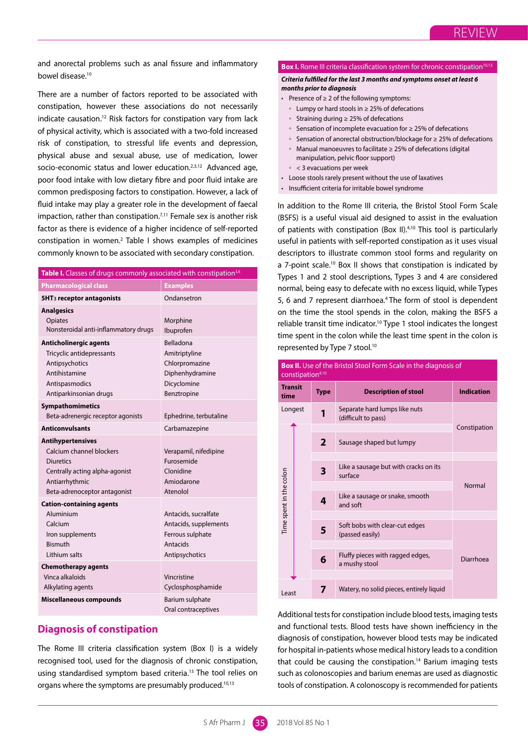and anorectal problems such as anal fissure and inflammatory bowel disease.10

There are a number of factors reported to be associated with constipation, however these associations do not necessarily indicate causation.12 Risk factors for constipation vary from lack of physical activity, which is associated with a two-fold increased risk of constipation, to stressful life events and depression, physical abuse and sexual abuse, use of medication, lower socio-economic status and lower education.<sup>2,3,12</sup> Advanced age, poor food intake with low dietary fibre and poor fluid intake are common predisposing factors to constipation. However, a lack of fluid intake may play a greater role in the development of faecal impaction, rather than constipation.<sup> $7,11$ </sup> Female sex is another risk factor as there is evidence of a higher incidence of self-reported constipation in women. $2$  Table I shows examples of medicines commonly known to be associated with secondary constipation.

| Table I. Classes of drugs commonly associated with constipation <sup>3,6</sup>                                                                               |                                                                                                 |
|--------------------------------------------------------------------------------------------------------------------------------------------------------------|-------------------------------------------------------------------------------------------------|
| <b>Pharmacological class</b>                                                                                                                                 | <b>Examples</b>                                                                                 |
| 5HT <sub>3</sub> receptor antagonists                                                                                                                        | Ondansetron                                                                                     |
| <b>Analgesics</b><br>Opiates<br>Nonsteroidal anti-inflammatory drugs                                                                                         | Morphine<br>Ibuprofen                                                                           |
| <b>Anticholinergic agents</b><br>Tricyclic antidepressants<br>Antipsychotics<br>Antihistamine<br>Antispasmodics<br>Antiparkinsonian drugs                    | Belladona<br>Amitriptyline<br>Chlorpromazine<br>Diphenhydramine<br>Dicyclomine<br>Benztropine   |
| Sympathomimetics<br>Beta-adrenergic receptor agonists                                                                                                        | Ephedrine, terbutaline                                                                          |
| <b>Anticonvulsants</b>                                                                                                                                       | Carbamazepine                                                                                   |
| <b>Antihypertensives</b><br>Calcium channel blockers<br><b>Diuretics</b><br>Centrally acting alpha-agonist<br>Antiarrhythmic<br>Beta-adrenoceptor antagonist | Verapamil, nifedipine<br>Furosemide<br>Clonidine<br>Amiodarone<br>Atenolol                      |
| <b>Cation-containing agents</b><br>Aluminium<br>Calcium<br>Iron supplements<br><b>Bismuth</b><br>Lithium salts                                               | Antacids, sucralfate<br>Antacids, supplements<br>Ferrous sulphate<br>Antacids<br>Antipsychotics |
| <b>Chemotherapy agents</b><br>Vinca alkaloids<br>Alkylating agents<br><b>Miscellaneous compounds</b>                                                         | Vincristine<br>Cyclosphosphamide<br>Barium sulphate                                             |
|                                                                                                                                                              | Oral contraceptives                                                                             |

# **Diagnosis of constipation**

The Rome III criteria classification system (Box I) is a widely recognised tool, used for the diagnosis of chronic constipation, using standardised symptom based criteria.<sup>13</sup> The tool relies on organs where the symptoms are presumably produced.<sup>10,13</sup>

#### **Box I.** Rome III criteria classification system for chronic constipation<sup>10,13</sup>

#### *Criteria fulfilled for the last 3 months and symptoms onset at least 6 months prior to diagnosis*

- Presence of ≥ 2 of the following symptoms:
	- Lumpy or hard stools in ≥ 25% of defecations
	- Straining during ≥ 25% of defecations
	- Sensation of incomplete evacuation for  $\geq 25\%$  of defecations
	- Sensation of anorectal obstruction/blockage for ≥ 25% of defecations
	- Manual manoeuvres to facilitate ≥ 25% of defecations (digital
	- manipulation, pelvic floor support)
	- < 3 evacuations per week
- Loose stools rarely present without the use of laxatives
- Insufficient criteria for irritable bowel syndrome

In addition to the Rome III criteria, the Bristol Stool Form Scale (BSFS) is a useful visual aid designed to assist in the evaluation of patients with constipation (Box II).4,10 This tool is particularly useful in patients with self-reported constipation as it uses visual descriptors to illustrate common stool forms and regularity on a 7-point scale.<sup>10</sup> Box II shows that constipation is indicated by Types 1 and 2 stool descriptions, Types 3 and 4 are considered normal, being easy to defecate with no excess liquid, while Types 5, 6 and 7 represent diarrhoea.<sup>4</sup> The form of stool is dependent on the time the stool spends in the colon, making the BSFS a reliable transit time indicator.<sup>10</sup> Type 1 stool indicates the longest time spent in the colon while the least time spent in the colon is represented by Type 7 stool.<sup>10</sup>

|                         | <b>Box II.</b> Use of the Bristol Stool Form Scale in the diagnosis of<br>constipation <sup>4,10</sup> |              |                                                      |              |  |  |
|-------------------------|--------------------------------------------------------------------------------------------------------|--------------|------------------------------------------------------|--------------|--|--|
| <b>Transit</b><br>time  |                                                                                                        | <b>Type</b>  | <b>Description of stool</b>                          |              |  |  |
| Longest                 |                                                                                                        | 1            | Separate hard lumps like nuts<br>(difficult to pass) |              |  |  |
|                         |                                                                                                        |              |                                                      | Constipation |  |  |
|                         |                                                                                                        | $\mathbf{2}$ | Sausage shaped but lumpy                             |              |  |  |
|                         |                                                                                                        |              |                                                      |              |  |  |
|                         |                                                                                                        | 3            | Like a sausage but with cracks on its<br>surface     | Normal       |  |  |
|                         |                                                                                                        |              |                                                      |              |  |  |
| Time spent in the colon |                                                                                                        | 4            | Like a sausage or snake, smooth<br>and soft          |              |  |  |
|                         |                                                                                                        |              |                                                      |              |  |  |
|                         |                                                                                                        | 5            | Soft bobs with clear-cut edges<br>(passed easily)    |              |  |  |
|                         |                                                                                                        |              |                                                      |              |  |  |
|                         |                                                                                                        | 6            | Fluffy pieces with ragged edges,<br>a mushy stool    | Diarrhoea    |  |  |
|                         |                                                                                                        |              |                                                      |              |  |  |
| Least                   |                                                                                                        |              | Watery, no solid pieces, entirely liquid             |              |  |  |

Additional tests for constipation include blood tests, imaging tests and functional tests. Blood tests have shown inefficiency in the diagnosis of constipation, however blood tests may be indicated for hospital in-patients whose medical history leads to a condition that could be causing the constipation.<sup>14</sup> Barium imaging tests such as colonoscopies and barium enemas are used as diagnostic tools of constipation. A colonoscopy is recommended for patients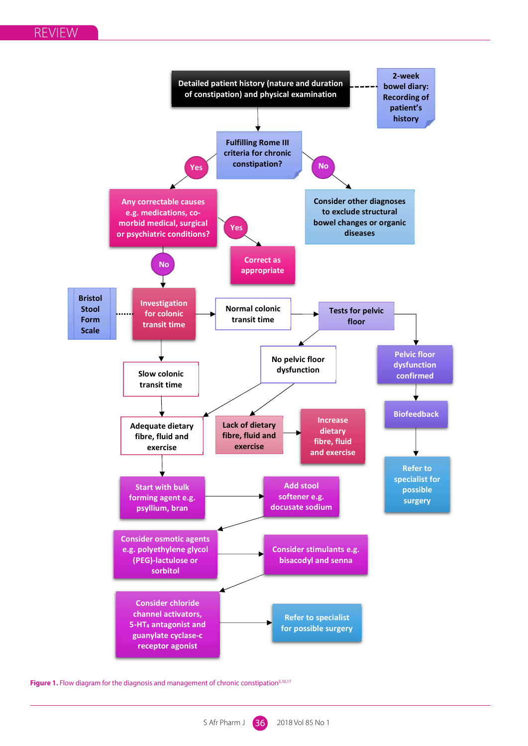

Figure 1. Flow diagram for the diagnosis and management of chronic constipation<sup>5,10,17</sup>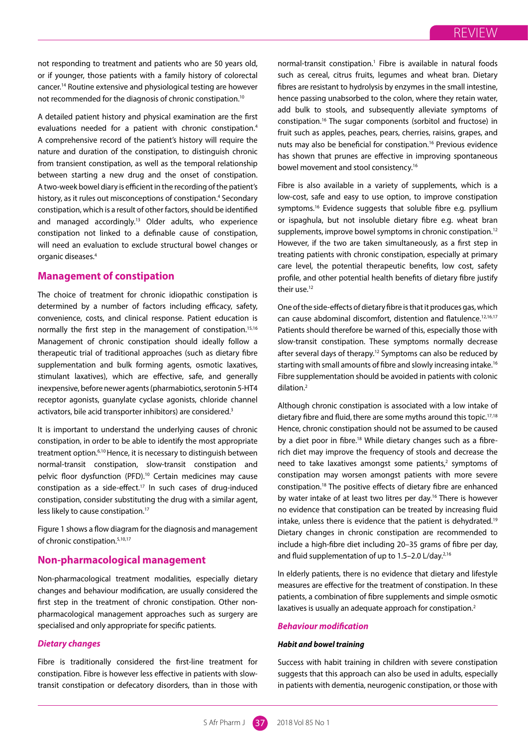not responding to treatment and patients who are 50 years old, or if younger, those patients with a family history of colorectal cancer.14 Routine extensive and physiological testing are however not recommended for the diagnosis of chronic constipation.10

A detailed patient history and physical examination are the first evaluations needed for a patient with chronic constipation.<sup>4</sup> A comprehensive record of the patient's history will require the nature and duration of the constipation, to distinguish chronic from transient constipation, as well as the temporal relationship between starting a new drug and the onset of constipation. A two-week bowel diary is efficient in the recording of the patient's history, as it rules out misconceptions of constipation.<sup>4</sup> Secondary constipation, which is a result of other factors, should be identified and managed accordingly.13 Older adults, who experience constipation not linked to a definable cause of constipation, will need an evaluation to exclude structural bowel changes or organic diseases.4

# **Management of constipation**

The choice of treatment for chronic idiopathic constipation is determined by a number of factors including efficacy, safety, convenience, costs, and clinical response. Patient education is normally the first step in the management of constipation.15,16 Management of chronic constipation should ideally follow a therapeutic trial of traditional approaches (such as dietary fibre supplementation and bulk forming agents, osmotic laxatives, stimulant laxatives), which are effective, safe, and generally inexpensive, before newer agents (pharmabiotics, serotonin 5-HT4 receptor agonists, guanylate cyclase agonists, chloride channel activators, bile acid transporter inhibitors) are considered.<sup>3</sup>

It is important to understand the underlying causes of chronic constipation, in order to be able to identify the most appropriate treatment option.6,10 Hence, it is necessary to distinguish between normal-transit constipation, slow-transit constipation and pelvic floor dysfunction (PFD).<sup>10</sup> Certain medicines may cause constipation as a side-effect.17 In such cases of drug-induced constipation, consider substituting the drug with a similar agent, less likely to cause constipation.<sup>17</sup>

Figure 1 shows a flow diagram for the diagnosis and management of chronic constipation.5,10,17

# **Non-pharmacological management**

Non-pharmacological treatment modalities, especially dietary changes and behaviour modification, are usually considered the first step in the treatment of chronic constipation. Other nonpharmacological management approaches such as surgery are specialised and only appropriate for specific patients.

# *Dietary changes*

Fibre is traditionally considered the first-line treatment for constipation. Fibre is however less effective in patients with slowtransit constipation or defecatory disorders, than in those with

normal-transit constipation.<sup>1</sup> Fibre is available in natural foods such as cereal, citrus fruits, legumes and wheat bran. Dietary fibres are resistant to hydrolysis by enzymes in the small intestine, hence passing unabsorbed to the colon, where they retain water, add bulk to stools, and subsequently alleviate symptoms of constipation.16 The sugar components (sorbitol and fructose) in fruit such as apples, peaches, pears, cherries, raisins, grapes, and nuts may also be beneficial for constipation.16 Previous evidence has shown that prunes are effective in improving spontaneous bowel movement and stool consistency.16

Fibre is also available in a variety of supplements, which is a low-cost, safe and easy to use option, to improve constipation symptoms.<sup>16</sup> Evidence suggests that soluble fibre e.g. psyllium or ispaghula, but not insoluble dietary fibre e.g. wheat bran supplements, improve bowel symptoms in chronic constipation.<sup>12</sup> However, if the two are taken simultaneously, as a first step in treating patients with chronic constipation, especially at primary care level, the potential therapeutic benefits, low cost, safety profile, and other potential health benefits of dietary fibre justify their use.<sup>12</sup>

One of the side-effects of dietary fibre is that it produces gas, which can cause abdominal discomfort, distention and flatulence.12,16,17 Patients should therefore be warned of this, especially those with slow-transit constipation. These symptoms normally decrease after several days of therapy.<sup>12</sup> Symptoms can also be reduced by starting with small amounts of fibre and slowly increasing intake.16 Fibre supplementation should be avoided in patients with colonic dilation.2

Although chronic constipation is associated with a low intake of dietary fibre and fluid, there are some myths around this topic.<sup>17,18</sup> Hence, chronic constipation should not be assumed to be caused by a diet poor in fibre.<sup>18</sup> While dietary changes such as a fibrerich diet may improve the frequency of stools and decrease the need to take laxatives amongst some patients,<sup>2</sup> symptoms of constipation may worsen amongst patients with more severe constipation.18 The positive effects of dietary fibre are enhanced by water intake of at least two litres per day.<sup>16</sup> There is however no evidence that constipation can be treated by increasing fluid intake, unless there is evidence that the patient is dehydrated.19 Dietary changes in chronic constipation are recommended to include a high-fibre diet including 20–35 grams of fibre per day, and fluid supplementation of up to 1.5-2.0 L/day.<sup>2,16</sup>

In elderly patients, there is no evidence that dietary and lifestyle measures are effective for the treatment of constipation. In these patients, a combination of fibre supplements and simple osmotic laxatives is usually an adequate approach for constipation.<sup>2</sup>

# *Behaviour modification*

### *Habit and bowel training*

Success with habit training in children with severe constipation suggests that this approach can also be used in adults, especially in patients with dementia, neurogenic constipation, or those with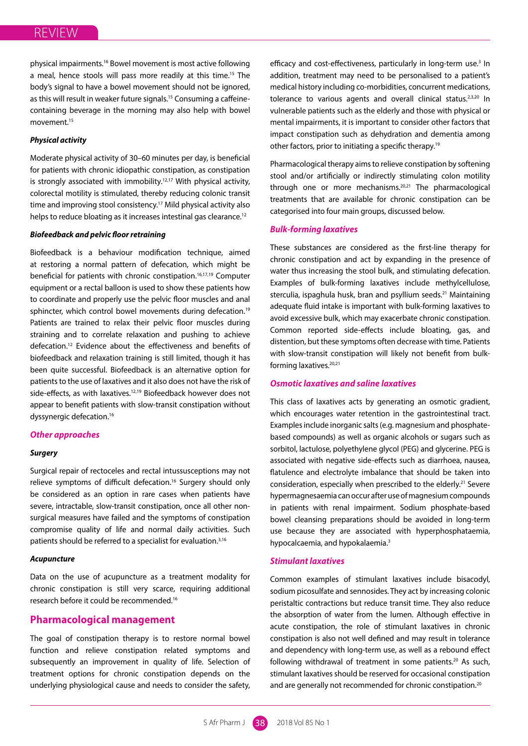physical impairments.16 Bowel movement is most active following a meal, hence stools will pass more readily at this time.<sup>15</sup> The body's signal to have a bowel movement should not be ignored, as this will result in weaker future signals.<sup>15</sup> Consuming a caffeinecontaining beverage in the morning may also help with bowel movement.15

# *Physical activity*

Moderate physical activity of 30–60 minutes per day, is beneficial for patients with chronic idiopathic constipation, as constipation is strongly associated with immobility.12,17 With physical activity, colorectal motility is stimulated, thereby reducing colonic transit time and improving stool consistency.<sup>17</sup> Mild physical activity also helps to reduce bloating as it increases intestinal gas clearance.<sup>12</sup>

#### *Biofeedback and pelvic floor retraining*

Biofeedback is a behaviour modification technique, aimed at restoring a normal pattern of defecation, which might be beneficial for patients with chronic constipation.<sup>16,17,19</sup> Computer equipment or a rectal balloon is used to show these patients how to coordinate and properly use the pelvic floor muscles and anal sphincter, which control bowel movements during defecation.<sup>19</sup> Patients are trained to relax their pelvic floor muscles during straining and to correlate relaxation and pushing to achieve defecation.12 Evidence about the effectiveness and benefits of biofeedback and relaxation training is still limited, though it has been quite successful. Biofeedback is an alternative option for patients to the use of laxatives and it also does not have the risk of side-effects, as with laxatives.<sup>12,19</sup> Biofeedback however does not appear to benefit patients with slow-transit constipation without dyssynergic defecation.16

#### *Other approaches*

# *Surgery*

Surgical repair of rectoceles and rectal intussusceptions may not relieve symptoms of difficult defecation.<sup>16</sup> Surgery should only be considered as an option in rare cases when patients have severe, intractable, slow-transit constipation, once all other nonsurgical measures have failed and the symptoms of constipation compromise quality of life and normal daily activities. Such patients should be referred to a specialist for evaluation.<sup>3,16</sup>

#### *Acupuncture*

Data on the use of acupuncture as a treatment modality for chronic constipation is still very scarce, requiring additional research before it could be recommended.16

# **Pharmacological management**

The goal of constipation therapy is to restore normal bowel function and relieve constipation related symptoms and subsequently an improvement in quality of life. Selection of treatment options for chronic constipation depends on the underlying physiological cause and needs to consider the safety,

efficacy and cost-effectiveness, particularly in long-term use.<sup>3</sup> In addition, treatment may need to be personalised to a patient's medical history including co-morbidities, concurrent medications, tolerance to various agents and overall clinical status.<sup>2,3,20</sup> In vulnerable patients such as the elderly and those with physical or mental impairments, it is important to consider other factors that impact constipation such as dehydration and dementia among other factors, prior to initiating a specific therapy.19

Pharmacological therapy aims to relieve constipation by softening stool and/or artificially or indirectly stimulating colon motility through one or more mechanisms.20,21 The pharmacological treatments that are available for chronic constipation can be categorised into four main groups, discussed below.

# *Bulk-forming laxatives*

These substances are considered as the first-line therapy for chronic constipation and act by expanding in the presence of water thus increasing the stool bulk, and stimulating defecation. Examples of bulk-forming laxatives include methylcellulose, sterculia, ispaghula husk, bran and psyllium seeds.<sup>21</sup> Maintaining adequate fluid intake is important with bulk-forming laxatives to avoid excessive bulk, which may exacerbate chronic constipation. Common reported side-effects include bloating, gas, and distention, but these symptoms often decrease with time. Patients with slow-transit constipation will likely not benefit from bulkforming laxatives.<sup>20,21</sup>

# *Osmotic laxatives and saline laxatives*

This class of laxatives acts by generating an osmotic gradient, which encourages water retention in the gastrointestinal tract. Examples include inorganic salts (e.g. magnesium and phosphatebased compounds) as well as organic alcohols or sugars such as sorbitol, lactulose, polyethylene glycol (PEG) and glycerine. PEG is associated with negative side-effects such as diarrhoea, nausea, flatulence and electrolyte imbalance that should be taken into consideration, especially when prescribed to the elderly.<sup>21</sup> Severe hypermagnesaemia can occur after use of magnesium compounds in patients with renal impairment. Sodium phosphate-based bowel cleansing preparations should be avoided in long-term use because they are associated with hyperphosphataemia, hypocalcaemia, and hypokalaemia.<sup>3</sup>

#### *Stimulant laxatives*

Common examples of stimulant laxatives include bisacodyl, sodium picosulfate and sennosides. They act by increasing colonic peristaltic contractions but reduce transit time. They also reduce the absorption of water from the lumen. Although effective in acute constipation, the role of stimulant laxatives in chronic constipation is also not well defined and may result in tolerance and dependency with long-term use, as well as a rebound effect following withdrawal of treatment in some patients.<sup>20</sup> As such, stimulant laxatives should be reserved for occasional constipation and are generally not recommended for chronic constipation.<sup>20</sup>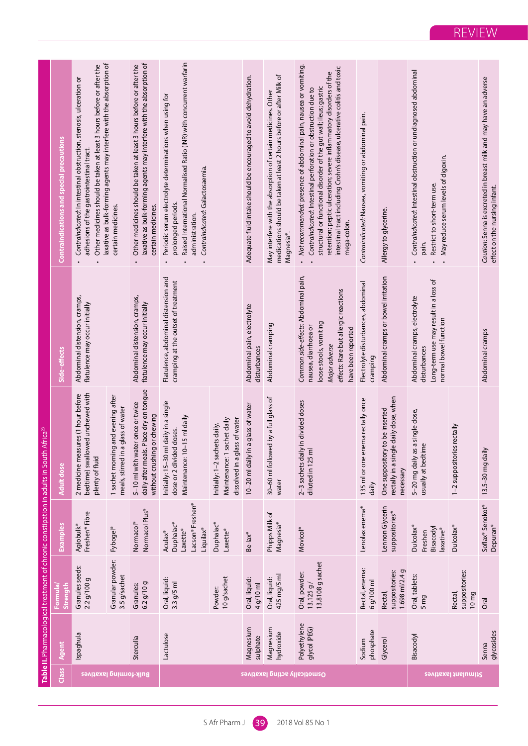|                                       |                              |                                                |                                                                   | Table II. Pharmacological treatment of chronic constipation in adults in South Africa <sup>23</sup>       |                                                                                                                                                                       |                                                                                                                                                                                                                                                                                                                                                                         |
|---------------------------------------|------------------------------|------------------------------------------------|-------------------------------------------------------------------|-----------------------------------------------------------------------------------------------------------|-----------------------------------------------------------------------------------------------------------------------------------------------------------------------|-------------------------------------------------------------------------------------------------------------------------------------------------------------------------------------------------------------------------------------------------------------------------------------------------------------------------------------------------------------------------|
| Class                                 | Agent                        | Strength<br>Formula                            | Examples                                                          | <b>Adult dose</b>                                                                                         | Side-effects                                                                                                                                                          | <b>Contraindications and special precautions</b>                                                                                                                                                                                                                                                                                                                        |
| Bulk-forming laxatives                | spaghula                     | Granules seeds:<br>2.2 g/100 g                 | Freshen® Fibre<br>Agiobulk®                                       | bedtime) swallowed unchewed with<br>2 medicine measures (1 hour before<br>plenty of fluid                 | Abdominal distension, cramps,<br>flatulence may occur initially                                                                                                       | laxative as bulk-forming agents may interfere with the absorption of<br>Other medicines should be taken at least 3 hours before or after the<br>Contraindicated: In intestinal obstruction, stenosis, ulceration or<br>adhesions of the gastrointestinal tract.                                                                                                         |
|                                       |                              | Granular powder:<br>3.5 g/sachet               | Fybogel <sup>®</sup>                                              | 1 sachet morning and evening after<br>a glass of water<br>meals, stirred in                               |                                                                                                                                                                       | certain medicines.                                                                                                                                                                                                                                                                                                                                                      |
|                                       | Sterculia                    | 6.2 g/10 g<br>Granules:                        | Normacol Plus®<br>Normacol <sup>®</sup>                           | daily after meals. Place dry on tongue<br>5-10 ml with water once or twice<br>without crushing or chewing | Abdominal distension, cramps,<br>flatulence may occur initially                                                                                                       | laxative as bulk-forming agents may interfere with the absorption of<br>Other medicines should be taken at least 3 hours before or after the<br>certain medicines.                                                                                                                                                                                                      |
|                                       | Lactulose                    | Oral, liquid:<br>$3.3$ g/5 ml                  | Lacson® Freshen®<br>Duphalac®<br>Liquilax®<br>Laxette®<br>Aculax® | Initially: 15-30 ml daily in a single<br>Maintenance: 10-15 ml daily<br>dose or 2 divided doses.          | Flatulence, abdominal distension and<br>cramping at the outset of treatment                                                                                           | Raised International Normalised Ratio (INR) with concurrent warfarin<br>Periodic serum electrolyte determinations when using for<br>Contraindicated: Galactosaemia.<br>prolonged periods.<br>administration.                                                                                                                                                            |
|                                       |                              | 10 g/sachet<br>Powder:                         | Duphalac®<br>Laxette®                                             | dissolved in a glass of water<br>Maintenance: 1 sachet daily<br>Initially: 1-2 sachets daily.             |                                                                                                                                                                       |                                                                                                                                                                                                                                                                                                                                                                         |
|                                       | Magnesium<br>sulphate        | Oral, liquid:<br>4 g/10 ml                     | $Be$ - $ax^$                                                      | 10-20 ml daily in a glass of water                                                                        | Abdominal pain, electrolyte<br>disturbances                                                                                                                           | Adequate fluid intake should be encouraged to avoid dehydration.                                                                                                                                                                                                                                                                                                        |
| <b>Paragetically acting laxatives</b> | Magnesium<br>hydroxide       | 425 mg/5 ml<br>Oral, liquid:                   | Phipps Milk of<br>Magnesia®                                       | ed by a full glass of<br>30-60 ml follow<br>water                                                         | Abdominal cramping                                                                                                                                                    | medications should be taken at least 2 hours before or after Milk of<br>May interfere with the absorption of certain medicines. Other<br>Magnesia <sup>®</sup> .                                                                                                                                                                                                        |
|                                       | Polyethylene<br>glycol (PEG) | 13.8108 g sachet<br>Oral, powder:<br>13.125 g/ | Movicol <sup>®</sup>                                              | 2-3 sachets daily in divided doses<br>diluted in 125 ml                                                   | Common side-effects: Abdominal pain,<br>effects: Rare but allergic reactions<br>loose stools, vomiting<br>nausea, diarrhoea or<br>have been reported<br>Major adverse | Not recommended: presence of abdominal pain, nausea or vomiting.<br>intestinal tract including Crohn's disease, ulcerative colitis and toxic<br>retention; peptic ulceration; severe inflammatory disorders of the<br>structural or functional disorder of the gut wall; ileus; gastric<br>Contraindicated: Intestinal perforation or obstruction due to<br>mega-colon. |
|                                       | phosphate<br>Sodium          | Rectal, enema:<br>6 g/100 ml                   | Lenolax enema®                                                    | 135 ml or one enema rectally once<br>daily                                                                | Electrolyte disturbances, abdominal<br>cramping                                                                                                                       | Contraindicated: Nausea, vomiting or abdominal pain.                                                                                                                                                                                                                                                                                                                    |
|                                       | Glycerol                     | 1.698 ml/2.4 g<br>suppositories:<br>Rectal,    | Lennon Glycerin<br>suppositories <sup>®</sup>                     | rectally in a single daily dose, when<br>One suppository to be inserted<br>necessary                      | Abdominal cramps or bowel irritation                                                                                                                                  | Allergy to glycerine.                                                                                                                                                                                                                                                                                                                                                   |
|                                       | Bisacodyl                    | Oral, tablets:<br>5 <sub>mg</sub>              | Dulcolax®<br>Bisacodyl<br>laxative®<br>Freshen                    | 5-20 mg daily as a single dose,<br>me<br>usually at bedti                                                 | Long-term use may result in a loss of<br>Abdominal cramps, electrolyte<br>normal bowel function<br>disturbances                                                       | Contraindicated: Intestinal obstruction or undiagnosed abdominal<br>May reduce serum levels of digoxin.<br>Restrict to short-term use.<br>pain.                                                                                                                                                                                                                         |
| Sevifiexal tralumit2                  |                              | suppositories:<br>Rectal,<br>10 <sub>mg</sub>  | Dulcolax®                                                         | 1-2 suppositories rectally                                                                                |                                                                                                                                                                       |                                                                                                                                                                                                                                                                                                                                                                         |
|                                       | glycosides<br>Senna          | Oral                                           | Soflax® Senokot®<br>Depuran <sup>®</sup>                          | $\geq$<br>13.5-30 mg dai                                                                                  | Abdominal cramps                                                                                                                                                      | Caution: Senna is excreted in breast milk and may have an adverse<br>effect on the nursing infant.                                                                                                                                                                                                                                                                      |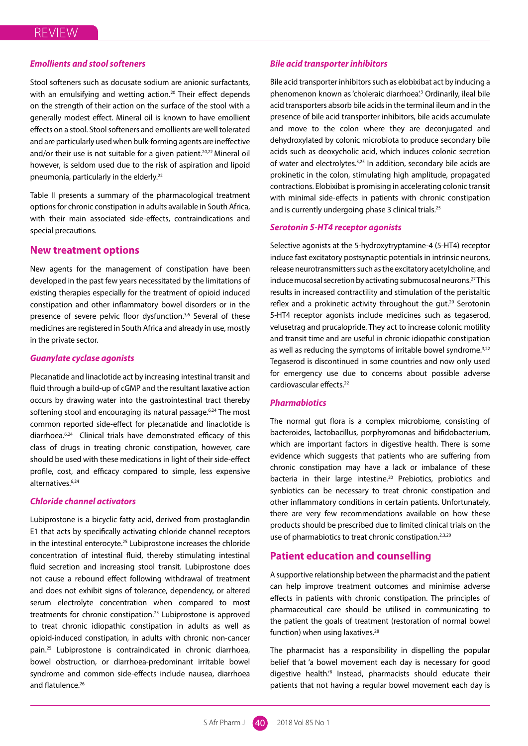# *Emollients and stool softeners*

Stool softeners such as docusate sodium are anionic surfactants, with an emulsifying and wetting action.<sup>20</sup> Their effect depends on the strength of their action on the surface of the stool with a generally modest effect. Mineral oil is known to have emollient effects on a stool. Stool softeners and emollients are well tolerated and are particularly used when bulk-forming agents are ineffective and/or their use is not suitable for a given patient.<sup>20,22</sup> Mineral oil however, is seldom used due to the risk of aspiration and lipoid pneumonia, particularly in the elderly.<sup>22</sup>

Table II presents a summary of the pharmacological treatment options for chronic constipation in adults available in South Africa, with their main associated side-effects, contraindications and special precautions.

# **New treatment options**

New agents for the management of constipation have been developed in the past few years necessitated by the limitations of existing therapies especially for the treatment of opioid induced constipation and other inflammatory bowel disorders or in the presence of severe pelvic floor dysfunction.<sup>3,6</sup> Several of these medicines are registered in South Africa and already in use, mostly in the private sector.

# *Guanylate cyclase agonists*

Plecanatide and linaclotide act by increasing intestinal transit and fluid through a build-up of cGMP and the resultant laxative action occurs by drawing water into the gastrointestinal tract thereby softening stool and encouraging its natural passage.<sup>6,24</sup> The most common reported side-effect for plecanatide and linaclotide is diarrhoea.6,24 Clinical trials have demonstrated efficacy of this class of drugs in treating chronic constipation, however, care should be used with these medications in light of their side-effect profile, cost, and efficacy compared to simple, less expensive alternatives.6,24

### *Chloride channel activators*

Lubiprostone is a bicyclic fatty acid, derived from prostaglandin E1 that acts by specifically activating chloride channel receptors in the intestinal enterocyte.<sup>25</sup> Lubiprostone increases the chloride concentration of intestinal fluid, thereby stimulating intestinal fluid secretion and increasing stool transit. Lubiprostone does not cause a rebound effect following withdrawal of treatment and does not exhibit signs of tolerance, dependency, or altered serum electrolyte concentration when compared to most treatments for chronic constipation.25 Lubiprostone is approved to treat chronic idiopathic constipation in adults as well as opioid-induced constipation, in adults with chronic non-cancer pain.25 Lubiprostone is contraindicated in chronic diarrhoea, bowel obstruction, or diarrhoea-predominant irritable bowel syndrome and common side-effects include nausea, diarrhoea and flatulence.<sup>26</sup>

#### *Bile acid transporter inhibitors*

Bile acid transporter inhibitors such as elobixibat act by inducing a phenomenon known as 'choleraic diarrhoea'.<sup>3</sup> Ordinarily, ileal bile acid transporters absorb bile acids in the terminal ileum and in the presence of bile acid transporter inhibitors, bile acids accumulate and move to the colon where they are deconjugated and dehydroxylated by colonic microbiota to produce secondary bile acids such as deoxycholic acid, which induces colonic secretion of water and electrolytes.3,25 In addition, secondary bile acids are prokinetic in the colon, stimulating high amplitude, propagated contractions. Elobixibat is promising in accelerating colonic transit with minimal side-effects in patients with chronic constipation and is currently undergoing phase 3 clinical trials.<sup>25</sup>

# *Serotonin 5-HT4 receptor agonists*

Selective agonists at the 5-hydroxytryptamine-4 (5-HT4) receptor induce fast excitatory postsynaptic potentials in intrinsic neurons, release neurotransmitters such as the excitatory acetylcholine, and induce mucosal secretion by activating submucosal neurons.27 This results in increased contractility and stimulation of the peristaltic reflex and a prokinetic activity throughout the gut.<sup>20</sup> Serotonin 5-HT4 receptor agonists include medicines such as tegaserod, velusetrag and prucalopride. They act to increase colonic motility and transit time and are useful in chronic idiopathic constipation as well as reducing the symptoms of irritable bowel syndrome.<sup>3,22</sup> Tegaserod is discontinued in some countries and now only used for emergency use due to concerns about possible adverse cardiovascular effects.22

# *Pharmabiotics*

The normal gut flora is a complex microbiome, consisting of bacteroides, lactobacillus, porphyromonas and bifidobacterium, which are important factors in digestive health. There is some evidence which suggests that patients who are suffering from chronic constipation may have a lack or imbalance of these bacteria in their large intestine.<sup>20</sup> Prebiotics, probiotics and synbiotics can be necessary to treat chronic constipation and other inflammatory conditions in certain patients. Unfortunately, there are very few recommendations available on how these products should be prescribed due to limited clinical trials on the use of pharmabiotics to treat chronic constipation.<sup>2,3,20</sup>

# **Patient education and counselling**

A supportive relationship between the pharmacist and the patient can help improve treatment outcomes and minimise adverse effects in patients with chronic constipation. The principles of pharmaceutical care should be utilised in communicating to the patient the goals of treatment (restoration of normal bowel function) when using laxatives.<sup>28</sup>

The pharmacist has a responsibility in dispelling the popular belief that 'a bowel movement each day is necessary for good digestive health.'8 Instead, pharmacists should educate their patients that not having a regular bowel movement each day is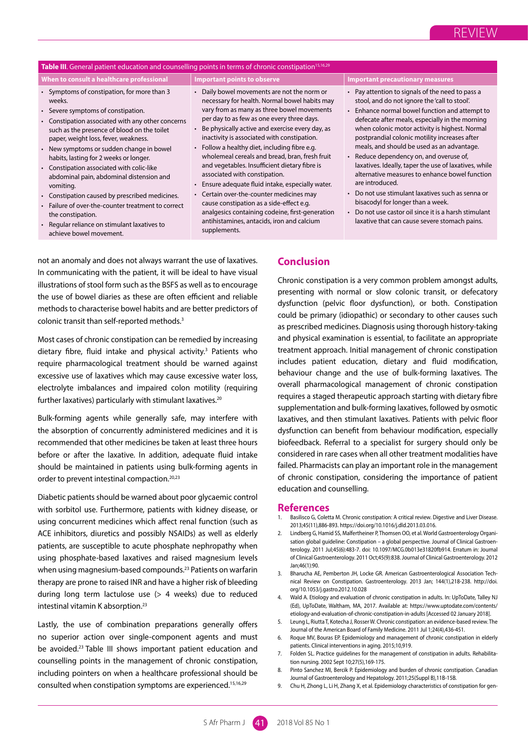# **Table III**. General patient education and counselling points in terms of chronic constipation<sup>15,16,29</sup> **When to consult a healthcare professional Important points to observe Important precautionary measures**

- Symptoms of constipation, for more than 3 weeks.
- Severe symptoms of constipation.
- Constipation associated with any other concerns such as the presence of blood on the toilet paper, weight loss, fever, weakness.
- New symptoms or sudden change in bowel habits, lasting for 2 weeks or longer.
- Constipation associated with colic-like abdominal pain, abdominal distension and vomiting.
- Constipation caused by prescribed medicines.
- Failure of over-the-counter treatment to correct the constipation.
- Regular reliance on stimulant laxatives to achieve bowel movement.
- Daily bowel movements are not the norm or necessary for health. Normal bowel habits may vary from as many as three bowel movements per day to as few as one every three days.
- Be physically active and exercise every day, as inactivity is associated with constipation.
- Follow a healthy diet, including fibre e.g. wholemeal cereals and bread, bran, fresh fruit and vegetables. Insufficient dietary fibre is associated with constipation.
- Ensure adequate fluid intake, especially water.
- Certain over-the-counter medicines may cause constipation as a side-effect e.g. analgesics containing codeine, first-generation antihistamines, antacids, iron and calcium supplements.

- Pay attention to signals of the need to pass a stool, and do not ignore the 'call to stool'.
- Enhance normal bowel function and attempt to defecate after meals, especially in the morning when colonic motor activity is highest. Normal postprandial colonic motility increases after meals, and should be used as an advantage.
- Reduce dependency on, and overuse of, laxatives. Ideally, taper the use of laxatives, while alternative measures to enhance bowel function are introduced.
- Do not use stimulant laxatives such as senna or bisacodyl for longer than a week.
- Do not use castor oil since it is a harsh stimulant laxative that can cause severe stomach pains.

not an anomaly and does not always warrant the use of laxatives. In communicating with the patient, it will be ideal to have visual illustrations of stool form such as the BSFS as well as to encourage the use of bowel diaries as these are often efficient and reliable methods to characterise bowel habits and are better predictors of colonic transit than self-reported methods.<sup>3</sup>

Most cases of chronic constipation can be remedied by increasing dietary fibre, fluid intake and physical activity.<sup>3</sup> Patients who require pharmacological treatment should be warned against excessive use of laxatives which may cause excessive water loss, electrolyte imbalances and impaired colon motility (requiring further laxatives) particularly with stimulant laxatives.<sup>20</sup>

Bulk-forming agents while generally safe, may interfere with the absorption of concurrently administered medicines and it is recommended that other medicines be taken at least three hours before or after the laxative. In addition, adequate fluid intake should be maintained in patients using bulk-forming agents in order to prevent intestinal compaction.<sup>20,23</sup>

Diabetic patients should be warned about poor glycaemic control with sorbitol use. Furthermore, patients with kidney disease, or using concurrent medicines which affect renal function (such as ACE inhibitors, diuretics and possibly NSAIDs) as well as elderly patients, are susceptible to acute phosphate nephropathy when using phosphate-based laxatives and raised magnesium levels when using magnesium-based compounds.<sup>23</sup> Patients on warfarin therapy are prone to raised INR and have a higher risk of bleeding during long term lactulose use (> 4 weeks) due to reduced intestinal vitamin K absorption.23

Lastly, the use of combination preparations generally offers no superior action over single-component agents and must be avoided.<sup>23</sup> Table III shows important patient education and counselling points in the management of chronic constipation, including pointers on when a healthcare professional should be consulted when constipation symptoms are experienced.15,16,29

# **Conclusion**

Chronic constipation is a very common problem amongst adults, presenting with normal or slow colonic transit, or defecatory dysfunction (pelvic floor dysfunction), or both. Constipation could be primary (idiopathic) or secondary to other causes such as prescribed medicines. Diagnosis using thorough history-taking and physical examination is essential, to facilitate an appropriate treatment approach. Initial management of chronic constipation includes patient education, dietary and fluid modification, behaviour change and the use of bulk-forming laxatives. The overall pharmacological management of chronic constipation requires a staged therapeutic approach starting with dietary fibre supplementation and bulk-forming laxatives, followed by osmotic laxatives, and then stimulant laxatives. Patients with pelvic floor dysfunction can benefit from behaviour modification, especially biofeedback. Referral to a specialist for surgery should only be considered in rare cases when all other treatment modalities have failed. Pharmacists can play an important role in the management of chronic constipation, considering the importance of patient education and counselling.

#### **References**

- 1. Basilisco G, Coletta M. Chronic constipation: A critical review. Digestive and Liver Disease. 2013;45(11),886-893. https://doi.org/10.1016/j.dld.2013.03.016.
- 2. Lindberg G, Hamid SS, Malfertheiner P, Thomsen OO, et al. World Gastroenterology Organisation global guideline: Constipation – a global perspective. Journal of Clinical Gastroenterology. 2011 Jul;45(6):483-7. doi: 10.1097/MCG.0b013e31820fb914. Erratum in: Journal of Clinical Gastroenterology. 2011 Oct;45(9):838. Journal of Clinical Gastroenterology. 2012 Jan;46(1):90.
- 3. Bharucha AE, Pemberton JH, Locke GR. American Gastroenterological Association Technical Review on Constipation. Gastroenterology. 2013 Jan; 144(1),218-238. http://doi. org/10.1053/j.gastro.2012.10.028
- 4. Wald A. Etiology and evaluation of chronic constipation in adults. In: UpToDate, Talley NJ (Ed), UpToDate, Waltham, MA, 2017. Available at: https://www.uptodate.com/contents/ etiology-and-evaluation-of-chronic-constipation-in-adults [Accessed 02 January 2018].
- 5. Leung L, Riutta T, Kotecha J, Rosser W. Chronic constipation: an evidence-based review. The Journal of the American Board of Family Medicine. 2011 Jul 1;24(4),436-451.
- 6. Roque MV, Bouras EP. Epidemiology and management of chronic constipation in elderly patients. Clinical interventions in aging. 2015;10,919.
- 7. Folden SL. Practice guidelines for the management of constipation in adults. Rehabilitation nursing. 2002 Sept 10;27(5),169-175.
- 8. Pinto Sanchez MI, Bercik P. Epidemiology and burden of chronic constipation. Canadian Journal of Gastroenterology and Hepatology. 2011;25(Suppl B),11B-15B.
- 9. Chu H, Zhong L, Li H, Zhang X, et al. Epidemiology characteristics of constipation for gen-